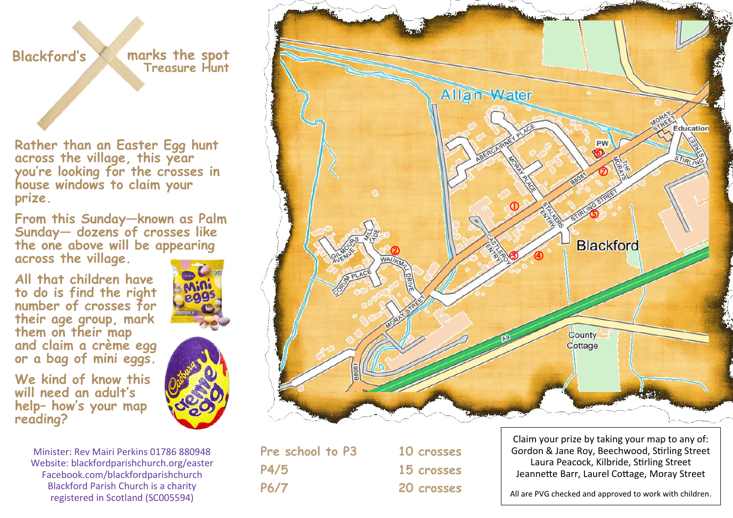## **Blackford's**

**marks the spot Treasure Hunt**

**Rather than an Easter Egg hunt across the village, this year you're looking for the crosses in house windows to claim your prize.** 

**From this Sunday—known as Palm Sunday— dozens of crosses like the one above will be appearing across the village.** 

**All that children have to do is find the right number of crosses for their age group, mark them on their map and claim a crème egg or a bag of mini eggs.** 



**We kind of know this will need an adult's help– how's your map reading?**





**Pre school to P3 10 crosses P4/5 15 crosses P6/7 20 crosses**

Claim your prize by taking your map to any of: Gordon & Jane Roy, Beechwood, Stirling Street Laura Peacock, Kilbride, Stirling Street Jeannette Barr, Laurel Cottage, Moray Street

All are PVG checked and approved to work with children.